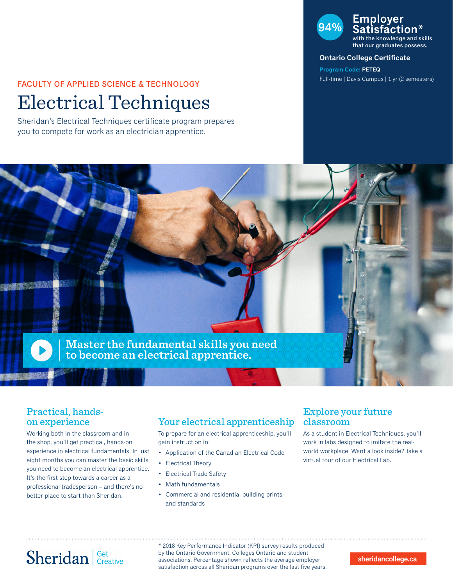# FACULTY OF APPLIED SCIENCE & TECHNOLOGY

# Electrical Techniques

Sheridan's Electrical Techniques certificate program prepares you to compete for work as an electrician apprentice.

### **94% Employer Satisfaction\*** the knowledge and skills

that our graduates possess.

#### **Ontario College Certificate**

**Program Code: PETEQ** Full-time | Davis Campus | 1 yr (2 semesters)



### Practical, handson experience

Working both in the classroom and in the shop, you'll get practical, hands-on experience in electrical fundamentals. In just eight months you can master the basic skills you need to become an electrical apprentice. It's the first step towards a career as a professional tradesperson – and there's no better place to start than Sheridan.

## Your electrical apprenticeship

To prepare for an electrical apprenticeship, you'll gain instruction in:

- Application of the Canadian Electrical Code
- Electrical Theory
- Electrical Trade Safety
- Math fundamentals
- Commercial and residential building prints and standards

### Explore your future classroom

As a student in Electrical Techniques, you'll work in labs designed to imitate the realworld workplace. Want a look inside? Take a virtual tour of our Electrical Lab.

# Sheridan Get Creative

\* 2018 Key Performance Indicator (KPI) survey results produced by the Ontario Government, Colleges Ontario and student associations. Percentage shown reflects the average employer satisfaction across all Sheridan programs over the last five years.